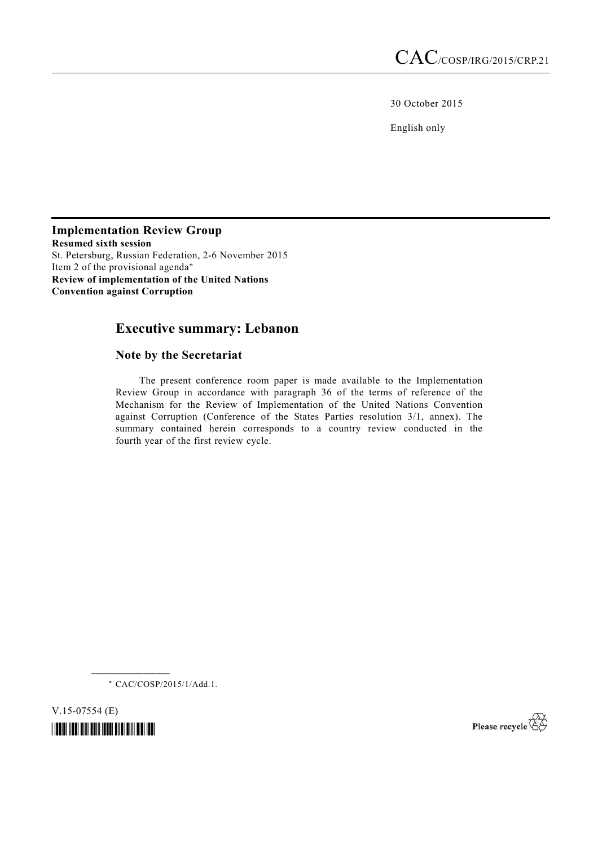30 October 2015

English only

**Implementation Review Group Resumed sixth session**  St. Petersburg, Russian Federation, 2-6 November 2015 Item 2 of the provisional agenda\* **Review of implementation of the United Nations Convention against Corruption**

# **Executive summary: Lebanon**

# **Note by the Secretariat**

 The present conference room paper is made available to the Implementation Review Group in accordance with paragraph 36 of the terms of reference of the Mechanism for the Review of Implementation of the United Nations Convention against Corruption (Conference of the States Parties resolution 3/1, annex). The summary contained herein corresponds to a country review conducted in the fourth year of the first review cycle.

\* CAC/COSP/2015/1/Add.1.

**\_\_\_\_\_\_\_\_\_\_\_\_\_\_\_\_\_\_** 

V.15-07554 (E)

*\*1507554\** 

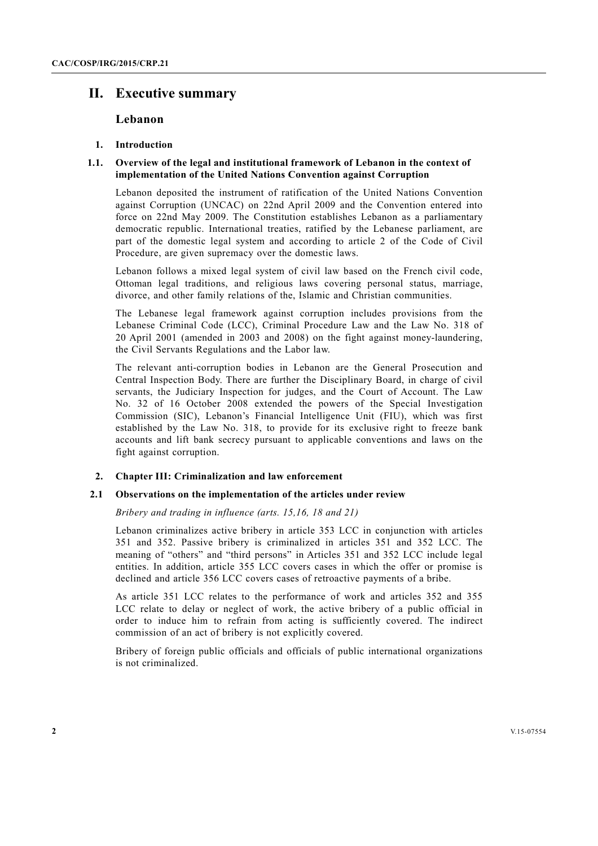# **II. Executive summary**

# **Lebanon**

### **1. Introduction**

# **1.1. Overview of the legal and institutional framework of Lebanon in the context of implementation of the United Nations Convention against Corruption**

Lebanon deposited the instrument of ratification of the United Nations Convention against Corruption (UNCAC) on 22nd April 2009 and the Convention entered into force on 22nd May 2009. The Constitution establishes Lebanon as a parliamentary democratic republic. International treaties, ratified by the Lebanese parliament, are part of the domestic legal system and according to article 2 of the Code of Civil Procedure, are given supremacy over the domestic laws.

Lebanon follows a mixed legal system of civil law based on the French civil code, Ottoman legal traditions, and religious laws covering personal status, marriage, divorce, and other family relations of the, Islamic and Christian communities.

The Lebanese legal framework against corruption includes provisions from the Lebanese Criminal Code (LCC), Criminal Procedure Law and the Law No. 318 of 20 April 2001 (amended in 2003 and 2008) on the fight against money-laundering, the Civil Servants Regulations and the Labor law.

The relevant anti-corruption bodies in Lebanon are the General Prosecution and Central Inspection Body. There are further the Disciplinary Board, in charge of civil servants, the Judiciary Inspection for judges, and the Court of Account. The Law No. 32 of 16 October 2008 extended the powers of the Special Investigation Commission (SIC), Lebanon's Financial Intelligence Unit (FIU), which was first established by the Law No. 318, to provide for its exclusive right to freeze bank accounts and lift bank secrecy pursuant to applicable conventions and laws on the fight against corruption.

### **2. Chapter III: Criminalization and law enforcement**

# **2.1 Observations on the implementation of the articles under review**

 *Bribery and trading in influence (arts. 15,16, 18 and 21)* 

Lebanon criminalizes active bribery in article 353 LCC in conjunction with articles 351 and 352. Passive bribery is criminalized in articles 351 and 352 LCC. The meaning of "others" and "third persons" in Articles 351 and 352 LCC include legal entities. In addition, article 355 LCC covers cases in which the offer or promise is declined and article 356 LCC covers cases of retroactive payments of a bribe.

As article 351 LCC relates to the performance of work and articles 352 and 355 LCC relate to delay or neglect of work, the active bribery of a public official in order to induce him to refrain from acting is sufficiently covered. The indirect commission of an act of bribery is not explicitly covered.

Bribery of foreign public officials and officials of public international organizations is not criminalized.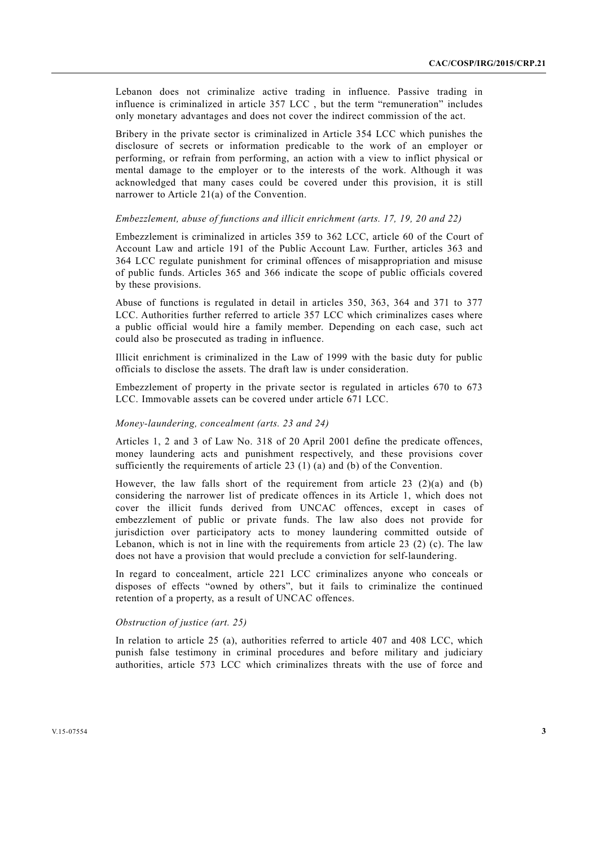Lebanon does not criminalize active trading in influence. Passive trading in influence is criminalized in article 357 LCC , but the term "remuneration" includes only monetary advantages and does not cover the indirect commission of the act.

Bribery in the private sector is criminalized in Article 354 LCC which punishes the disclosure of secrets or information predicable to the work of an employer or performing, or refrain from performing, an action with a view to inflict physical or mental damage to the employer or to the interests of the work. Although it was acknowledged that many cases could be covered under this provision, it is still narrower to Article 21(a) of the Convention.

# *Embezzlement, abuse of functions and illicit enrichment (arts. 17, 19, 20 and 22)*

Embezzlement is criminalized in articles 359 to 362 LCC, article 60 of the Court of Account Law and article 191 of the Public Account Law. Further, articles 363 and 364 LCC regulate punishment for criminal offences of misappropriation and misuse of public funds. Articles 365 and 366 indicate the scope of public officials covered by these provisions.

Abuse of functions is regulated in detail in articles 350, 363, 364 and 371 to 377 LCC. Authorities further referred to article 357 LCC which criminalizes cases where a public official would hire a family member. Depending on each case, such act could also be prosecuted as trading in influence.

Illicit enrichment is criminalized in the Law of 1999 with the basic duty for public officials to disclose the assets. The draft law is under consideration.

Embezzlement of property in the private sector is regulated in articles 670 to 673 LCC. Immovable assets can be covered under article 671 LCC.

# *Money-laundering, concealment (arts. 23 and 24)*

Articles 1, 2 and 3 of Law No. 318 of 20 April 2001 define the predicate offences, money laundering acts and punishment respectively, and these provisions cover sufficiently the requirements of article 23 (1) (a) and (b) of the Convention.

However, the law falls short of the requirement from article 23  $(2)(a)$  and (b) considering the narrower list of predicate offences in its Article 1, which does not cover the illicit funds derived from UNCAC offences, except in cases of embezzlement of public or private funds. The law also does not provide for jurisdiction over participatory acts to money laundering committed outside of Lebanon, which is not in line with the requirements from article 23 (2) (c). The law does not have a provision that would preclude a conviction for self-laundering.

In regard to concealment, article 221 LCC criminalizes anyone who conceals or disposes of effects "owned by others", but it fails to criminalize the continued retention of a property, as a result of UNCAC offences.

### *Obstruction of justice (art. 25)*

In relation to article 25 (a), authorities referred to article 407 and 408 LCC, which punish false testimony in criminal procedures and before military and judiciary authorities, article 573 LCC which criminalizes threats with the use of force and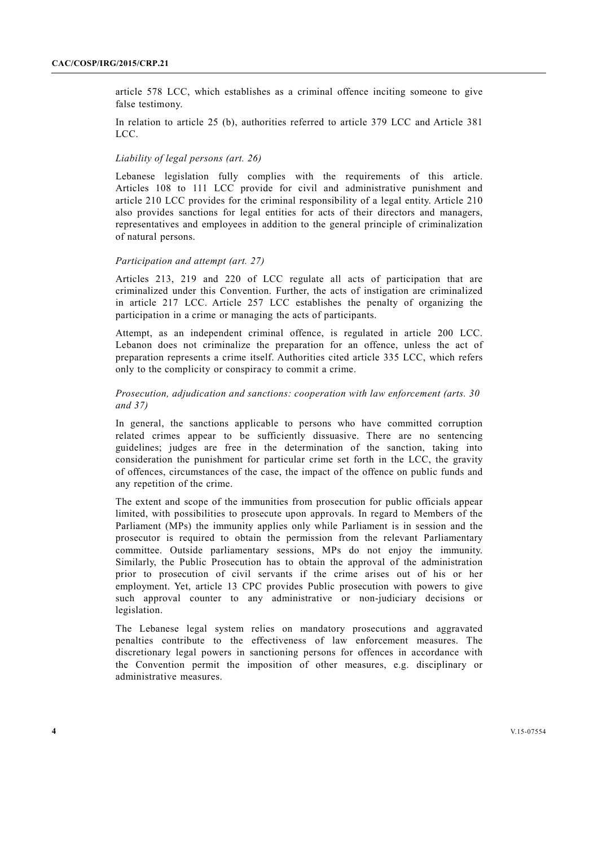article 578 LCC, which establishes as a criminal offence inciting someone to give false testimony.

In relation to article 25 (b), authorities referred to article 379 LCC and Article 381  $LC<sub>C</sub>$ 

### *Liability of legal persons (art. 26)*

Lebanese legislation fully complies with the requirements of this article. Articles 108 to 111 LCC provide for civil and administrative punishment and article 210 LCC provides for the criminal responsibility of a legal entity. Article 210 also provides sanctions for legal entities for acts of their directors and managers, representatives and employees in addition to the general principle of criminalization of natural persons.

# *Participation and attempt (art. 27)*

Articles 213, 219 and 220 of LCC regulate all acts of participation that are criminalized under this Convention. Further, the acts of instigation are criminalized in article 217 LCC. Article 257 LCC establishes the penalty of organizing the participation in a crime or managing the acts of participants.

Attempt, as an independent criminal offence, is regulated in article 200 LCC. Lebanon does not criminalize the preparation for an offence, unless the act of preparation represents a crime itself. Authorities cited article 335 LCC, which refers only to the complicity or conspiracy to commit a crime.

# *Prosecution, adjudication and sanctions: cooperation with law enforcement (arts. 30 and 37)*

In general, the sanctions applicable to persons who have committed corruption related crimes appear to be sufficiently dissuasive. There are no sentencing guidelines; judges are free in the determination of the sanction, taking into consideration the punishment for particular crime set forth in the LCC, the gravity of offences, circumstances of the case, the impact of the offence on public funds and any repetition of the crime.

The extent and scope of the immunities from prosecution for public officials appear limited, with possibilities to prosecute upon approvals. In regard to Members of the Parliament (MPs) the immunity applies only while Parliament is in session and the prosecutor is required to obtain the permission from the relevant Parliamentary committee. Outside parliamentary sessions, MPs do not enjoy the immunity. Similarly, the Public Prosecution has to obtain the approval of the administration prior to prosecution of civil servants if the crime arises out of his or her employment. Yet, article 13 CPC provides Public prosecution with powers to give such approval counter to any administrative or non-judiciary decisions or legislation.

The Lebanese legal system relies on mandatory prosecutions and aggravated penalties contribute to the effectiveness of law enforcement measures. The discretionary legal powers in sanctioning persons for offences in accordance with the Convention permit the imposition of other measures, e.g. disciplinary or administrative measures.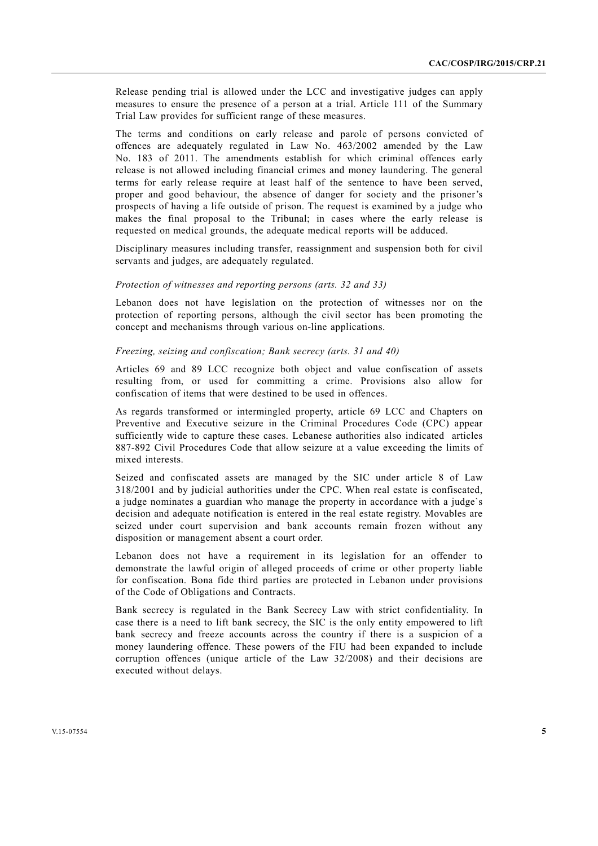Release pending trial is allowed under the LCC and investigative judges can apply measures to ensure the presence of a person at a trial. Article 111 of the Summary Trial Law provides for sufficient range of these measures.

The terms and conditions on early release and parole of persons convicted of offences are adequately regulated in Law No. 463/2002 amended by the Law No. 183 of 2011. The amendments establish for which criminal offences early release is not allowed including financial crimes and money laundering. The general terms for early release require at least half of the sentence to have been served, proper and good behaviour, the absence of danger for society and the prisoner's prospects of having a life outside of prison. The request is examined by a judge who makes the final proposal to the Tribunal; in cases where the early release is requested on medical grounds, the adequate medical reports will be adduced.

Disciplinary measures including transfer, reassignment and suspension both for civil servants and judges, are adequately regulated.

#### *Protection of witnesses and reporting persons (arts. 32 and 33)*

Lebanon does not have legislation on the protection of witnesses nor on the protection of reporting persons, although the civil sector has been promoting the concept and mechanisms through various on-line applications.

# *Freezing, seizing and confiscation; Bank secrecy (arts. 31 and 40)*

Articles 69 and 89 LCC recognize both object and value confiscation of assets resulting from, or used for committing a crime. Provisions also allow for confiscation of items that were destined to be used in offences.

As regards transformed or intermingled property, article 69 LCC and Chapters on Preventive and Executive seizure in the Criminal Procedures Code (CPC) appear sufficiently wide to capture these cases. Lebanese authorities also indicated articles 887-892 Civil Procedures Code that allow seizure at a value exceeding the limits of mixed interests.

Seized and confiscated assets are managed by the SIC under article 8 of Law 318/2001 and by judicial authorities under the CPC. When real estate is confiscated, a judge nominates a guardian who manage the property in accordance with a judge`s decision and adequate notification is entered in the real estate registry. Movables are seized under court supervision and bank accounts remain frozen without any disposition or management absent a court order.

Lebanon does not have a requirement in its legislation for an offender to demonstrate the lawful origin of alleged proceeds of crime or other property liable for confiscation. Bona fide third parties are protected in Lebanon under provisions of the Code of Obligations and Contracts.

Bank secrecy is regulated in the Bank Secrecy Law with strict confidentiality. In case there is a need to lift bank secrecy, the SIC is the only entity empowered to lift bank secrecy and freeze accounts across the country if there is a suspicion of a money laundering offence. These powers of the FIU had been expanded to include corruption offences (unique article of the Law 32/2008) and their decisions are executed without delays.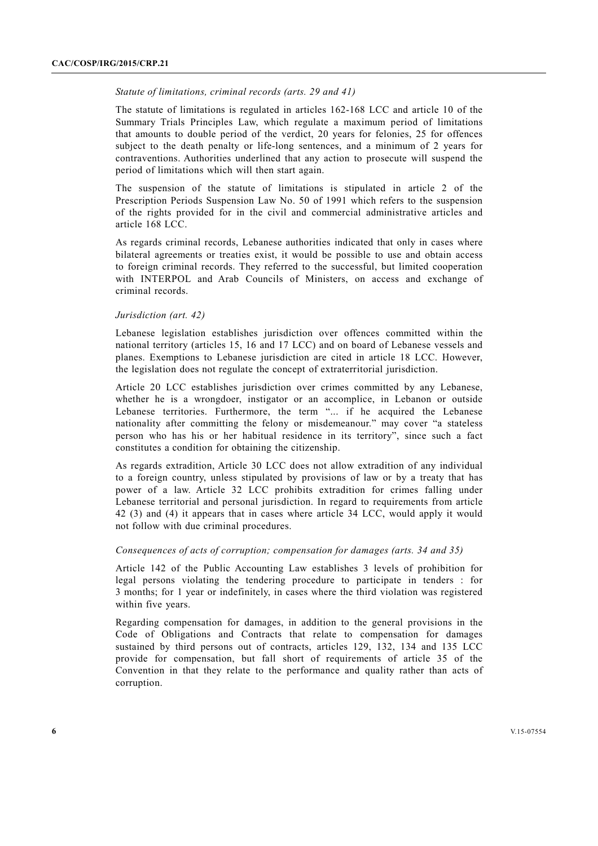#### *Statute of limitations, criminal records (arts. 29 and 41)*

The statute of limitations is regulated in articles 162-168 LCC and article 10 of the Summary Trials Principles Law, which regulate a maximum period of limitations that amounts to double period of the verdict, 20 years for felonies, 25 for offences subject to the death penalty or life-long sentences, and a minimum of 2 years for contraventions. Authorities underlined that any action to prosecute will suspend the period of limitations which will then start again.

The suspension of the statute of limitations is stipulated in article 2 of the Prescription Periods Suspension Law No. 50 of 1991 which refers to the suspension of the rights provided for in the civil and commercial administrative articles and article 168 LCC.

As regards criminal records, Lebanese authorities indicated that only in cases where bilateral agreements or treaties exist, it would be possible to use and obtain access to foreign criminal records. They referred to the successful, but limited cooperation with INTERPOL and Arab Councils of Ministers, on access and exchange of criminal records.

#### *Jurisdiction (art. 42)*

Lebanese legislation establishes jurisdiction over offences committed within the national territory (articles 15, 16 and 17 LCC) and on board of Lebanese vessels and planes. Exemptions to Lebanese jurisdiction are cited in article 18 LCC. However, the legislation does not regulate the concept of extraterritorial jurisdiction.

Article 20 LCC establishes jurisdiction over crimes committed by any Lebanese, whether he is a wrongdoer, instigator or an accomplice, in Lebanon or outside Lebanese territories. Furthermore, the term "... if he acquired the Lebanese nationality after committing the felony or misdemeanour." may cover "a stateless person who has his or her habitual residence in its territory", since such a fact constitutes a condition for obtaining the citizenship.

As regards extradition, Article 30 LCC does not allow extradition of any individual to a foreign country, unless stipulated by provisions of law or by a treaty that has power of a law. Article 32 LCC prohibits extradition for crimes falling under Lebanese territorial and personal jurisdiction. In regard to requirements from article 42 (3) and (4) it appears that in cases where article 34 LCC, would apply it would not follow with due criminal procedures.

# *Consequences of acts of corruption; compensation for damages (arts. 34 and 35)*

Article 142 of the Public Accounting Law establishes 3 levels of prohibition for legal persons violating the tendering procedure to participate in tenders : for 3 months; for 1 year or indefinitely, in cases where the third violation was registered within five years.

Regarding compensation for damages, in addition to the general provisions in the Code of Obligations and Contracts that relate to compensation for damages sustained by third persons out of contracts, articles 129, 132, 134 and 135 LCC provide for compensation, but fall short of requirements of article 35 of the Convention in that they relate to the performance and quality rather than acts of corruption.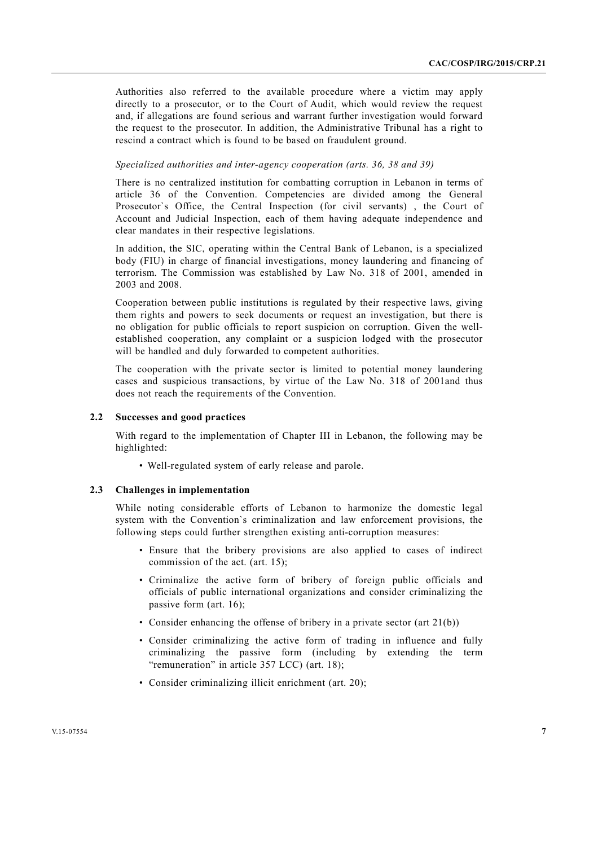Authorities also referred to the available procedure where a victim may apply directly to a prosecutor, or to the Court of Audit, which would review the request and, if allegations are found serious and warrant further investigation would forward the request to the prosecutor. In addition, the Administrative Tribunal has a right to rescind a contract which is found to be based on fraudulent ground.

# *Specialized authorities and inter-agency cooperation (arts. 36, 38 and 39)*

There is no centralized institution for combatting corruption in Lebanon in terms of article 36 of the Convention. Competencies are divided among the General Prosecutor`s Office, the Central Inspection (for civil servants) , the Court of Account and Judicial Inspection, each of them having adequate independence and clear mandates in their respective legislations.

In addition, the SIC, operating within the Central Bank of Lebanon, is a specialized body (FIU) in charge of financial investigations, money laundering and financing of terrorism. The Commission was established by Law No. 318 of 2001, amended in 2003 and 2008.

Cooperation between public institutions is regulated by their respective laws, giving them rights and powers to seek documents or request an investigation, but there is no obligation for public officials to report suspicion on corruption. Given the wellestablished cooperation, any complaint or a suspicion lodged with the prosecutor will be handled and duly forwarded to competent authorities.

The cooperation with the private sector is limited to potential money laundering cases and suspicious transactions, by virtue of the Law No. 318 of 2001and thus does not reach the requirements of the Convention.

### **2.2 Successes and good practices**

With regard to the implementation of Chapter III in Lebanon, the following may be highlighted:

• Well-regulated system of early release and parole.

## **2.3 Challenges in implementation**

While noting considerable efforts of Lebanon to harmonize the domestic legal system with the Convention`s criminalization and law enforcement provisions, the following steps could further strengthen existing anti-corruption measures:

- Ensure that the bribery provisions are also applied to cases of indirect commission of the act. (art. 15);
- Criminalize the active form of bribery of foreign public officials and officials of public international organizations and consider criminalizing the passive form (art. 16);
- Consider enhancing the offense of bribery in a private sector (art 21(b))
- Consider criminalizing the active form of trading in influence and fully criminalizing the passive form (including by extending the term "remuneration" in article 357 LCC) (art. 18);
- Consider criminalizing illicit enrichment (art. 20);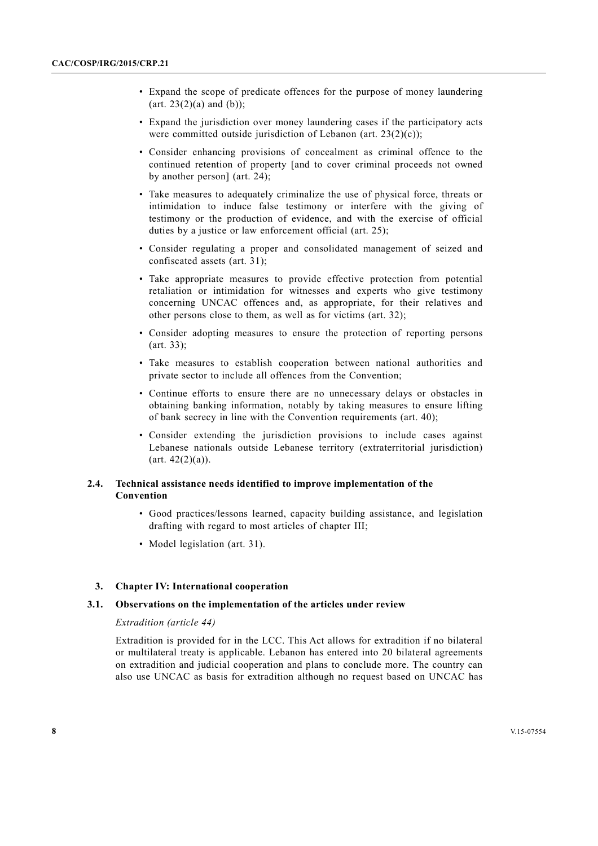- Expand the scope of predicate offences for the purpose of money laundering  $(art. 23(2)(a) and (b))$ ;
- Expand the jurisdiction over money laundering cases if the participatory acts were committed outside jurisdiction of Lebanon (art.  $23(2)(c)$ );
- Consider enhancing provisions of concealment as criminal offence to the continued retention of property [and to cover criminal proceeds not owned by another person] (art. 24);
- Take measures to adequately criminalize the use of physical force, threats or intimidation to induce false testimony or interfere with the giving of testimony or the production of evidence, and with the exercise of official duties by a justice or law enforcement official (art. 25);
- Consider regulating a proper and consolidated management of seized and confiscated assets (art. 31);
- Take appropriate measures to provide effective protection from potential retaliation or intimidation for witnesses and experts who give testimony concerning UNCAC offences and, as appropriate, for their relatives and other persons close to them, as well as for victims (art. 32);
- Consider adopting measures to ensure the protection of reporting persons (art. 33);
- Take measures to establish cooperation between national authorities and private sector to include all offences from the Convention;
- Continue efforts to ensure there are no unnecessary delays or obstacles in obtaining banking information, notably by taking measures to ensure lifting of bank secrecy in line with the Convention requirements (art. 40);
- Consider extending the jurisdiction provisions to include cases against Lebanese nationals outside Lebanese territory (extraterritorial jurisdiction)  $(\text{art. } 42(2)(a)).$

# **2.4. Technical assistance needs identified to improve implementation of the Convention**

- Good practices/lessons learned, capacity building assistance, and legislation drafting with regard to most articles of chapter III;
- Model legislation (art. 31).

# **3. Chapter IV: International cooperation**

## **3.1. Observations on the implementation of the articles under review**

### *Extradition (article 44)*

Extradition is provided for in the LCC. This Act allows for extradition if no bilateral or multilateral treaty is applicable. Lebanon has entered into 20 bilateral agreements on extradition and judicial cooperation and plans to conclude more. The country can also use UNCAC as basis for extradition although no request based on UNCAC has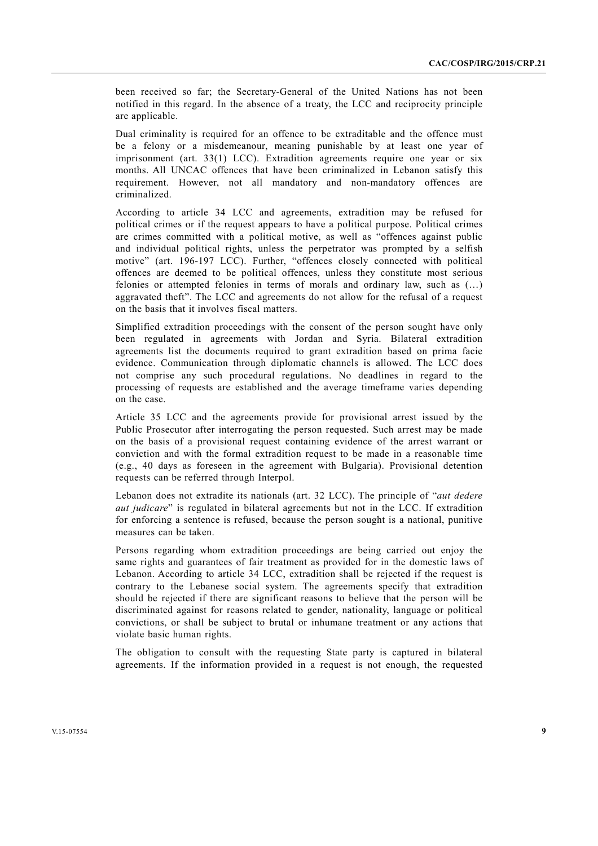been received so far; the Secretary-General of the United Nations has not been notified in this regard. In the absence of a treaty, the LCC and reciprocity principle are applicable.

Dual criminality is required for an offence to be extraditable and the offence must be a felony or a misdemeanour, meaning punishable by at least one year of imprisonment (art. 33(1) LCC). Extradition agreements require one year or six months. All UNCAC offences that have been criminalized in Lebanon satisfy this requirement. However, not all mandatory and non-mandatory offences are criminalized.

According to article 34 LCC and agreements, extradition may be refused for political crimes or if the request appears to have a political purpose. Political crimes are crimes committed with a political motive, as well as "offences against public and individual political rights, unless the perpetrator was prompted by a selfish motive" (art. 196-197 LCC). Further, "offences closely connected with political offences are deemed to be political offences, unless they constitute most serious felonies or attempted felonies in terms of morals and ordinary law, such as (…) aggravated theft". The LCC and agreements do not allow for the refusal of a request on the basis that it involves fiscal matters.

Simplified extradition proceedings with the consent of the person sought have only been regulated in agreements with Jordan and Syria. Bilateral extradition agreements list the documents required to grant extradition based on prima facie evidence. Communication through diplomatic channels is allowed. The LCC does not comprise any such procedural regulations. No deadlines in regard to the processing of requests are established and the average timeframe varies depending on the case.

Article 35 LCC and the agreements provide for provisional arrest issued by the Public Prosecutor after interrogating the person requested. Such arrest may be made on the basis of a provisional request containing evidence of the arrest warrant or conviction and with the formal extradition request to be made in a reasonable time (e.g., 40 days as foreseen in the agreement with Bulgaria). Provisional detention requests can be referred through Interpol.

Lebanon does not extradite its nationals (art. 32 LCC). The principle of "*aut dedere aut judicare*" is regulated in bilateral agreements but not in the LCC. If extradition for enforcing a sentence is refused, because the person sought is a national, punitive measures can be taken.

Persons regarding whom extradition proceedings are being carried out enjoy the same rights and guarantees of fair treatment as provided for in the domestic laws of Lebanon. According to article 34 LCC, extradition shall be rejected if the request is contrary to the Lebanese social system. The agreements specify that extradition should be rejected if there are significant reasons to believe that the person will be discriminated against for reasons related to gender, nationality, language or political convictions, or shall be subject to brutal or inhumane treatment or any actions that violate basic human rights.

The obligation to consult with the requesting State party is captured in bilateral agreements. If the information provided in a request is not enough, the requested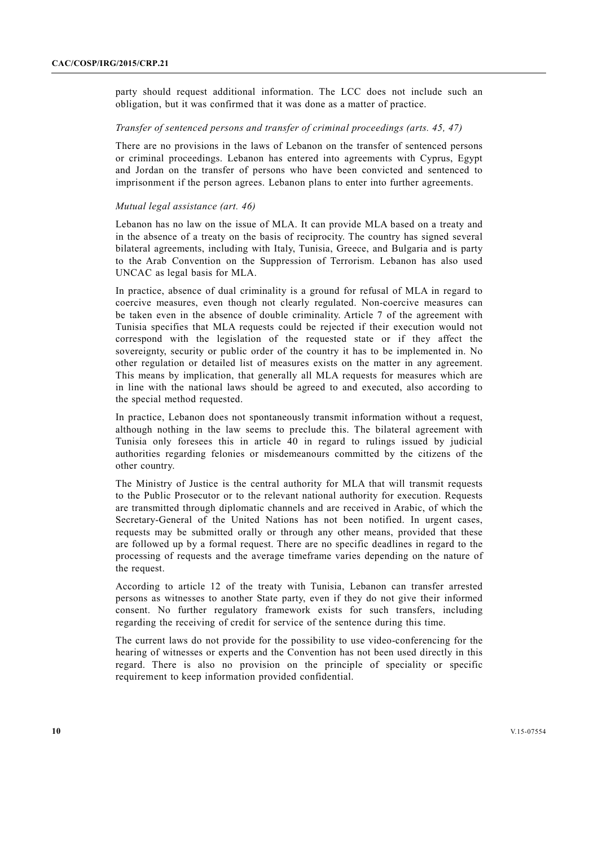party should request additional information. The LCC does not include such an obligation, but it was confirmed that it was done as a matter of practice.

# *Transfer of sentenced persons and transfer of criminal proceedings (arts. 45, 47)*

There are no provisions in the laws of Lebanon on the transfer of sentenced persons or criminal proceedings. Lebanon has entered into agreements with Cyprus, Egypt and Jordan on the transfer of persons who have been convicted and sentenced to imprisonment if the person agrees. Lebanon plans to enter into further agreements.

## *Mutual legal assistance (art. 46)*

Lebanon has no law on the issue of MLA. It can provide MLA based on a treaty and in the absence of a treaty on the basis of reciprocity. The country has signed several bilateral agreements, including with Italy, Tunisia, Greece, and Bulgaria and is party to the Arab Convention on the Suppression of Terrorism. Lebanon has also used UNCAC as legal basis for MLA.

In practice, absence of dual criminality is a ground for refusal of MLA in regard to coercive measures, even though not clearly regulated. Non-coercive measures can be taken even in the absence of double criminality. Article 7 of the agreement with Tunisia specifies that MLA requests could be rejected if their execution would not correspond with the legislation of the requested state or if they affect the sovereignty, security or public order of the country it has to be implemented in. No other regulation or detailed list of measures exists on the matter in any agreement. This means by implication, that generally all MLA requests for measures which are in line with the national laws should be agreed to and executed, also according to the special method requested.

In practice, Lebanon does not spontaneously transmit information without a request, although nothing in the law seems to preclude this. The bilateral agreement with Tunisia only foresees this in article 40 in regard to rulings issued by judicial authorities regarding felonies or misdemeanours committed by the citizens of the other country.

The Ministry of Justice is the central authority for MLA that will transmit requests to the Public Prosecutor or to the relevant national authority for execution. Requests are transmitted through diplomatic channels and are received in Arabic, of which the Secretary-General of the United Nations has not been notified. In urgent cases, requests may be submitted orally or through any other means, provided that these are followed up by a formal request. There are no specific deadlines in regard to the processing of requests and the average timeframe varies depending on the nature of the request.

According to article 12 of the treaty with Tunisia, Lebanon can transfer arrested persons as witnesses to another State party, even if they do not give their informed consent. No further regulatory framework exists for such transfers, including regarding the receiving of credit for service of the sentence during this time.

The current laws do not provide for the possibility to use video-conferencing for the hearing of witnesses or experts and the Convention has not been used directly in this regard. There is also no provision on the principle of speciality or specific requirement to keep information provided confidential.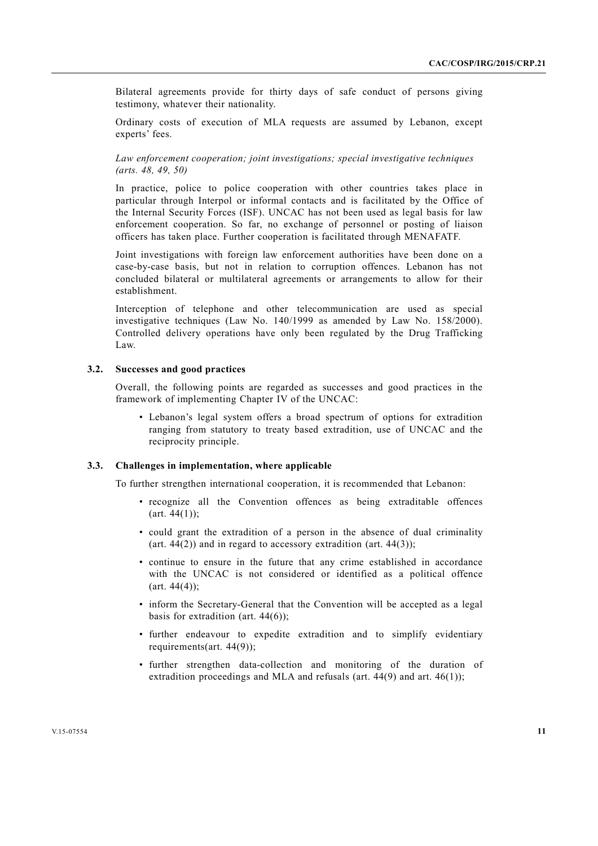Bilateral agreements provide for thirty days of safe conduct of persons giving testimony, whatever their nationality.

Ordinary costs of execution of MLA requests are assumed by Lebanon, except experts' fees.

 *Law enforcement cooperation; joint investigations; special investigative techniques (arts. 48, 49, 50)* 

In practice, police to police cooperation with other countries takes place in particular through Interpol or informal contacts and is facilitated by the Office of the Internal Security Forces (ISF). UNCAC has not been used as legal basis for law enforcement cooperation. So far, no exchange of personnel or posting of liaison officers has taken place. Further cooperation is facilitated through MENAFATF.

Joint investigations with foreign law enforcement authorities have been done on a case-by-case basis, but not in relation to corruption offences. Lebanon has not concluded bilateral or multilateral agreements or arrangements to allow for their establishment.

Interception of telephone and other telecommunication are used as special investigative techniques (Law No. 140/1999 as amended by Law No. 158/2000). Controlled delivery operations have only been regulated by the Drug Trafficking Law.

# **3.2. Successes and good practices**

Overall, the following points are regarded as successes and good practices in the framework of implementing Chapter IV of the UNCAC:

 • Lebanon's legal system offers a broad spectrum of options for extradition ranging from statutory to treaty based extradition, use of UNCAC and the reciprocity principle.

#### **3.3. Challenges in implementation, where applicable**

To further strengthen international cooperation, it is recommended that Lebanon:

- recognize all the Convention offences as being extraditable offences  $(art. 44(1))$ ;
- could grant the extradition of a person in the absence of dual criminality (art.  $44(2)$ ) and in regard to accessory extradition (art.  $44(3)$ );
- continue to ensure in the future that any crime established in accordance with the UNCAC is not considered or identified as a political offence  $(art. 44(4));$
- inform the Secretary-General that the Convention will be accepted as a legal basis for extradition (art.  $44(6)$ );
- further endeavour to expedite extradition and to simplify evidentiary requirements(art. 44(9));
- further strengthen data-collection and monitoring of the duration of extradition proceedings and MLA and refusals (art.  $44(9)$  and art.  $46(1)$ );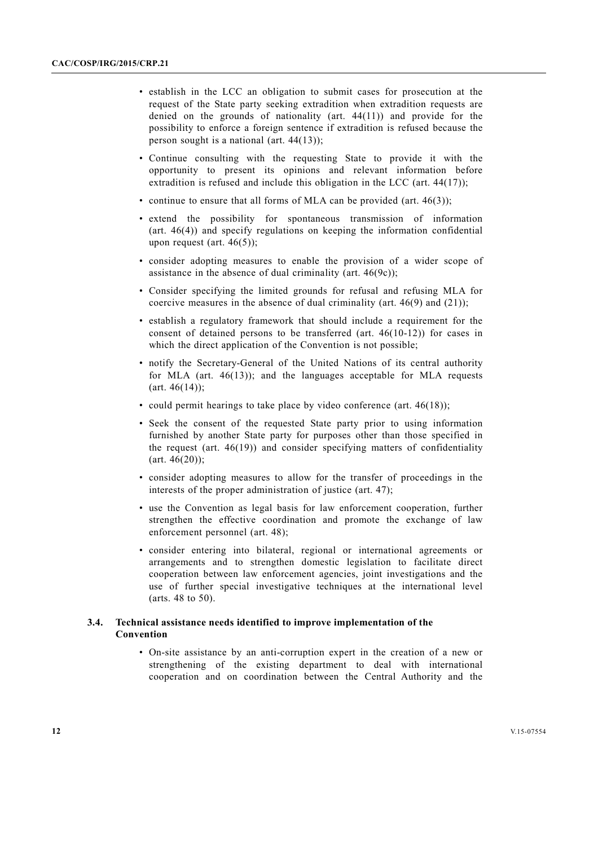- establish in the LCC an obligation to submit cases for prosecution at the request of the State party seeking extradition when extradition requests are denied on the grounds of nationality (art. 44(11)) and provide for the possibility to enforce a foreign sentence if extradition is refused because the person sought is a national (art. 44(13));
- Continue consulting with the requesting State to provide it with the opportunity to present its opinions and relevant information before extradition is refused and include this obligation in the LCC (art. 44(17));
- continue to ensure that all forms of MLA can be provided (art. 46(3));
- extend the possibility for spontaneous transmission of information (art. 46(4)) and specify regulations on keeping the information confidential upon request (art.  $46(5)$ ):
- consider adopting measures to enable the provision of a wider scope of assistance in the absence of dual criminality (art.  $46(9c)$ );
- Consider specifying the limited grounds for refusal and refusing MLA for coercive measures in the absence of dual criminality (art. 46(9) and (21));
- establish a regulatory framework that should include a requirement for the consent of detained persons to be transferred (art. 46(10-12)) for cases in which the direct application of the Convention is not possible;
- notify the Secretary-General of the United Nations of its central authority for MLA (art.  $46(13)$ ); and the languages acceptable for MLA requests (art. 46(14));
- could permit hearings to take place by video conference (art. 46(18));
- Seek the consent of the requested State party prior to using information furnished by another State party for purposes other than those specified in the request (art. 46(19)) and consider specifying matters of confidentiality (art. 46(20));
- consider adopting measures to allow for the transfer of proceedings in the interests of the proper administration of justice (art. 47);
- use the Convention as legal basis for law enforcement cooperation, further strengthen the effective coordination and promote the exchange of law enforcement personnel (art. 48);
- consider entering into bilateral, regional or international agreements or arrangements and to strengthen domestic legislation to facilitate direct cooperation between law enforcement agencies, joint investigations and the use of further special investigative techniques at the international level (arts. 48 to 50).

# **3.4. Technical assistance needs identified to improve implementation of the Convention**

 • On-site assistance by an anti-corruption expert in the creation of a new or strengthening of the existing department to deal with international cooperation and on coordination between the Central Authority and the